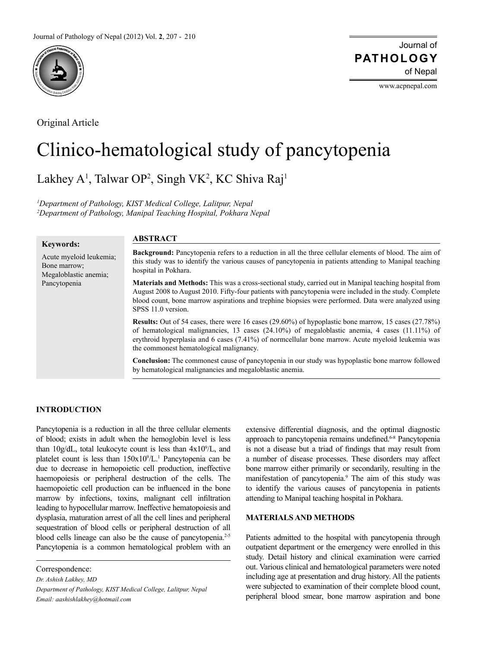

Original Article

Journal of of Nepal **PATHOLOGY**

www.acpnepal.com

# Clinico-hematological study of pancytopenia

Lakhey A<sup>1</sup>, Talwar OP<sup>2</sup>, Singh VK<sup>2</sup>, KC Shiva Raj<sup>1</sup>

*1 Department of Pathology, KIST Medical College, Lalitpur, Nepal 2 Department of Pathology, Manipal Teaching Hospital, Pokhara Nepal*

**ABSTRACT**

# **Keywords:**

Acute myeloid leukemia; Bone marrow; Megaloblastic anemia; Pancytopenia

**Background:** Pancytopenia refers to a reduction in all the three cellular elements of blood. The aim of this study was to identify the various causes of pancytopenia in patients attending to Manipal teaching hospital in Pokhara.

**Materials and Methods:** This was a cross-sectional study, carried out in Manipal teaching hospital from August 2008 to August 2010. Fifty-four patients with pancytopenia were included in the study. Complete blood count, bone marrow aspirations and trephine biopsies were performed. Data were analyzed using SPSS 11.0 version.

**Results:** Out of 54 cases, there were 16 cases (29.60%) of hypoplastic bone marrow, 15 cases (27.78%) of hematological malignancies, 13 cases  $(24.10\%)$  of megaloblastic anemia, 4 cases  $(11.11\%)$  of erythroid hyperplasia and 6 cases (7.41%) of normcellular bone marrow. Acute myeloid leukemia was the commonest hematological malignancy.

**Conclusion:** The commonest cause of pancytopenia in our study was hypoplastic bone marrow followed by hematological malignancies and megaloblastic anemia.

## **INTRODUCTION**

Pancytopenia is a reduction in all the three cellular elements of blood; exists in adult when the hemoglobin level is less than  $10g/dL$ , total leukocyte count is less than  $4x10<sup>9</sup>/L$ , and platelet count is less than  $150x10^9/L$ .<sup>1</sup> Pancytopenia can be due to decrease in hemopoietic cell production, ineffective haemopoiesis or peripheral destruction of the cells. The haemopoietic cell production can be influenced in the bone marrow by infections, toxins, malignant cell infiltration leading to hypocellular marrow. Ineffective hematopoiesis and dysplasia, maturation arrest of all the cell lines and peripheral sequestration of blood cells or peripheral destruction of all blood cells lineage can also be the cause of pancytopenia.<sup>2-5</sup> Pancytopenia is a common hematological problem with an

Correspondence: *Dr. Ashish Lakhey, MD Department of Pathology, KIST Medical College, Lalitpur, Nepal Email: aashishlakhey@hotmail.com*

extensive differential diagnosis, and the optimal diagnostic approach to pancytopenia remains undefined.<sup>6-8</sup> Pancytopenia is not a disease but a triad of findings that may result from a number of disease processes. These disorders may affect bone marrow either primarily or secondarily, resulting in the manifestation of pancytopenia.<sup>9</sup> The aim of this study was to identify the various causes of pancytopenia in patients attending to Manipal teaching hospital in Pokhara.

## **MATERIALS AND METHODS**

Patients admitted to the hospital with pancytopenia through outpatient department or the emergency were enrolled in this study. Detail history and clinical examination were carried out. Various clinical and hematological parameters were noted including age at presentation and drug history. All the patients were subjected to examination of their complete blood count, peripheral blood smear, bone marrow aspiration and bone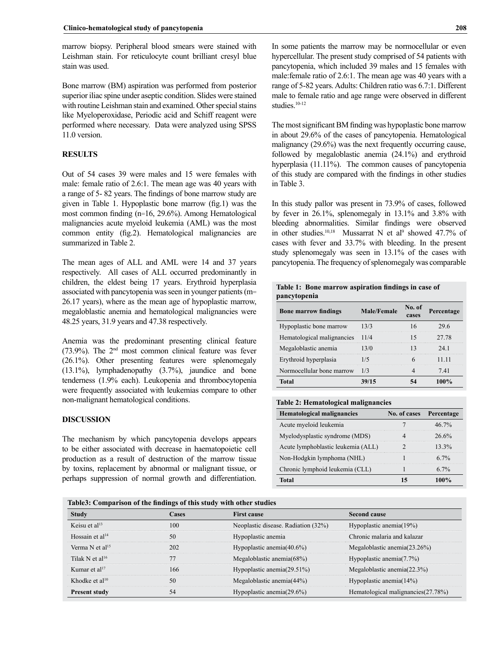marrow biopsy. Peripheral blood smears were stained with Leishman stain. For reticulocyte count brilliant cresyl blue stain was used.

Bone marrow (BM) aspiration was performed from posterior superior iliac spine under aseptic condition. Slides were stained with routine Leishman stain and examined. Other special stains like Myeloperoxidase, Periodic acid and Schiff reagent were performed where necessary. Data were analyzed using SPSS 11.0 version.

# **RESULTS**

Out of 54 cases 39 were males and 15 were females with male: female ratio of 2.6:1. The mean age was 40 years with a range of 5- 82 years. The findings of bone marrow study are given in Table 1. Hypoplastic bone marrow (fig.1) was the most common finding (n=16, 29.6%). Among Hematological malignancies acute myeloid leukemia (AML) was the most common entity (fig.2). Hematological malignancies are summarized in Table 2.

The mean ages of ALL and AML were 14 and 37 years respectively. All cases of ALL occurred predominantly in children, the eldest being 17 years. Erythroid hyperplasia associated with pancytopenia was seen in younger patients (m= 26.17 years), where as the mean age of hypoplastic marrow, megaloblastic anemia and hematological malignancies were 48.25 years, 31.9 years and 47.38 respectively.

Anemia was the predominant presenting clinical feature (73.9%). The 2nd most common clinical feature was fever (26.1%). Other presenting features were splenomegaly (13.1%), lymphadenopathy (3.7%), jaundice and bone tenderness (1.9% each). Leukopenia and thrombocytopenia were frequently associated with leukemias compare to other non-malignant hematological conditions.

#### **DISCUSSION**

The mechanism by which pancytopenia develops appears to be either associated with decrease in haematopoietic cell production as a result of destruction of the marrow tissue by toxins, replacement by abnormal or malignant tissue, or perhaps suppression of normal growth and differentiation.

In some patients the marrow may be normocellular or even hypercellular. The present study comprised of 54 patients with pancytopenia, which included 39 males and 15 females with male:female ratio of 2.6:1. The mean age was 40 years with a range of 5-82 years. Adults: Children ratio was 6.7:1. Different male to female ratio and age range were observed in different studies.<sup>10-12</sup>

The most significant BM finding was hypoplastic bone marrow in about 29.6% of the cases of pancytopenia. Hematological malignancy (29.6%) was the next frequently occurring cause, followed by megaloblastic anemia (24.1%) and erythroid hyperplasia (11.11%). The common causes of pancytopenia of this study are compared with the findings in other studies in Table 3.

In this study pallor was present in 73.9% of cases, followed by fever in 26.1%, splenomegaly in 13.1% and 3.8% with bleeding abnormalities. Similar findings were observed in other studies.<sup>10,18</sup> Mussarrat N et al<sup>9</sup> showed 47.7% of cases with fever and 33.7% with bleeding. In the present study splenomegaly was seen in 13.1% of the cases with pancytopenia. The frequency of splenomegaly was comparable

|              | Table 1: Bone marrow aspiration findings in case of |  |  |
|--------------|-----------------------------------------------------|--|--|
| pancytopenia |                                                     |  |  |

| <b>Bone marrow findings</b> | <b>Male/Female</b> | No. of<br>cases | Percentage |
|-----------------------------|--------------------|-----------------|------------|
| Hypoplastic bone marrow     | 13/3               |                 | 19 h       |
| Hematological malignancies  | 11/4               |                 | 27.78      |
| Megaloblastic anemia        | F370               |                 | 24.1       |
| Erythroid hyperplasia       |                    |                 | 11 11      |
| Normocellular bone marrow   |                    |                 | 741        |
| Fatal                       |                    |                 |            |

#### **Table 2: Hematological malignancies**

| <b>Hematological malignancies</b>  | No. of cases Percentage |          |
|------------------------------------|-------------------------|----------|
| Acute myeloid leukemia             |                         | $46.7\%$ |
| Myelodysplastic syndrome (MDS)     |                         | 26.6%    |
| Acute lymphoblastic leukemia (ALL) |                         | $13.3\%$ |
| Non-Hodgkin lymphoma (NHL)         |                         | $6.7\%$  |
| Chronic lymphoid leukemia (CLL)    |                         | $6.7\%$  |
| Fatal                              |                         |          |

#### **Table3: Comparison of the findings of this study with other studies**

| <b>Study</b>                | Cases | <b>First cause</b>                  | Second cause                        |
|-----------------------------|-------|-------------------------------------|-------------------------------------|
| Keisu et $al13$             | 100   | Neoplastic disease. Radiation (32%) | Hypoplastic anemia $(19\%)$         |
| Hossain et $al14$           | 50    | Hypoplastic anemia                  | Chronic malaria and kalazar         |
| Verma N et al <sup>15</sup> | 202   | Hypoplastic anemia $(40.6\%)$       | Megaloblastic anemia $(23.26\%)$    |
| Tilak N et al <sup>16</sup> |       | Megaloblastic anemia $(68\%)$       | Hypoplastic anemia $(7.7\%)$        |
| Kumar et al $17$            | 166   | Hypoplastic anemia $(29.51\%)$      | Megaloblastic anemia $(22.3\%)$     |
| Khodke et al <sup>10</sup>  | 50    | Megaloblastic anemia $(44%)$        | Hypoplastic anemia $(14%)$          |
| <b>Present study</b>        | 54    | Hypoplastic anemia $(29.6\%)$       | Hematological malignancies (27.78%) |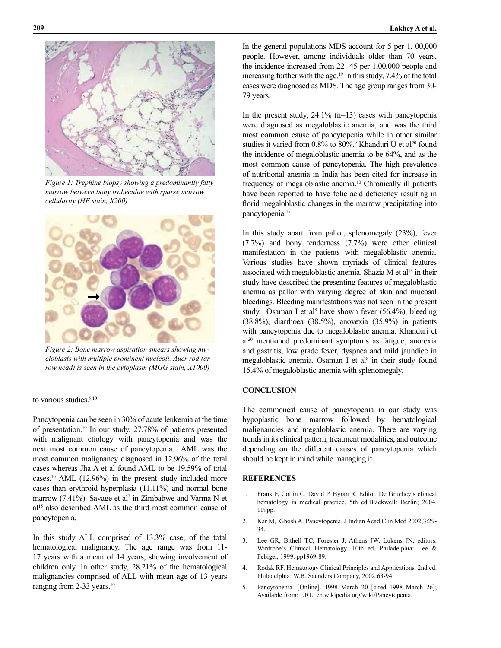

*Figure 1: Trephine biopsy showing a predominantly fatty marrow between bony trabeculae with sparse marrow cellularity (HE stain, X200)*



*Figure 2: Bone marrow aspiration smears showing myeloblasts with multiple prominent nucleoli. Auer rod (arrow head) is seen in the cytoplasm (MGG stain, X1000)*

## to various studies.<sup>9,10</sup>

Pancytopenia can be seen in 30% of acute leukemia at the time of presentation.10 In our study, 27.78% of patients presented with malignant etiology with pancytopenia and was the next most common cause of pancytopenia. AML was the most common malignancy diagnosed in 12.96% of the total cases whereas Jha A et al found AML to be 19.59% of total cases.10 AML (12.96%) in the present study included more cases than erythroid hyperplasia (11.11%) and normal bone marrow (7.41%). Savage et al<sup>7</sup> in Zimbabwe and Varma N et al<sup>15</sup> also described AML as the third most common cause of pancytopenia.

In this study ALL comprised of 13.3% case; of the total hematological malignancy. The age range was from 11- 17 years with a mean of 14 years, showing involvement of children only. In other study, 28.21% of the hematological malignancies comprised of ALL with mean age of 13 years ranging from 2-33 years.<sup>10</sup>

In the general populations MDS account for 5 per 1, 00,000 people. However, among individuals older than 70 years, the incidence increased from 22- 45 per 1,00,000 people and increasing further with the age.<sup>19</sup> In this study, 7.4% of the total cases were diagnosed as MDS. The age group ranges from 30- 79 years.

In the present study,  $24.1\%$  (n=13) cases with pancytopenia were diagnosed as megaloblastic anemia, and was the third most common cause of pancytopenia while in other similar studies it varied from 0.8% to 80%.<sup>9</sup> Khanduri U et al<sup>20</sup> found the incidence of megaloblastic anemia to be 64%, and as the most common cause of pancytopenia. The high prevalence of nutritional anemia in India has been cited for increase in frequency of megaloblastic anemia.10 Chronically ill patients have been reported to have folic acid deficiency resulting in florid megaloblastic changes in the marrow precipitating into pancytopenia.<sup>17</sup>

In this study apart from pallor, splenomegaly (23%), fever (7.7%) and bony tenderness (7.7%) were other clinical manifestation in the patients with megaloblastic anemia. Various studies have shown myriads of clinical features associated with megaloblastic anemia. Shazia M et al<sup>18</sup> in their study have described the presenting features of megaloblastic anemia as pallor with varying degree of skin and mucosal bleedings. Bleeding manifestations was not seen in the present study. Osaman I et al<sup>8</sup> have shown fever (56.4%), bleeding (38.8%), diarrhoea (38.5%), anovexia (35.9%) in patients with pancytopenia due to megaloblastic anemia. Khanduri et al20 mentioned predominant symptoms as fatigue, anorexia and gastritis, low grade fever, dyspnea and mild jaundice in megaloblastic anemia. Osaman I et al<sup>8</sup> in their study found 15.4% of megaloblastic anemia with splenomegaly.

## **CONCLUSION**

The commonest cause of pancytopenia in our study was hypoplastic bone marrow followed by hematological malignancies and megaloblastic anemia. There are varying trends in its clinical pattern, treatment modalities, and outcome depending on the different causes of pancytopenia which should be kept in mind while managing it.

# **REFERENCES**

- 1. Frank F, Collin C, David P, Byran R, Editor. De Gruchey's clinical hematology in medical practice. 5th ed.Blackwell: Berlin; 2004. 119pp.
- 2. Kar M, Ghosh A. Pancytopenia. J Indian Acad Clin Med 2002;3:29- 34.
- 3. Lee GR, Bithell TC, Forester J, Athens JW, Lukens JN, editors. Wintrobe's Clinical Hematology. 10th ed. Philadelphia: Lee & Febiger, 1999. pp1969-89.
- 4. Rodak RF. Hematology Clinical Principles and Applications. 2nd ed. Philadelphia: W.B. Saunders Company, 2002:63-94.
- 5. Pancytopenia. [Online]. 1998 March 20 [cited 1998 March 26]; Available from: URL: en.wikipedia.org/wiki/Pancytopenia.